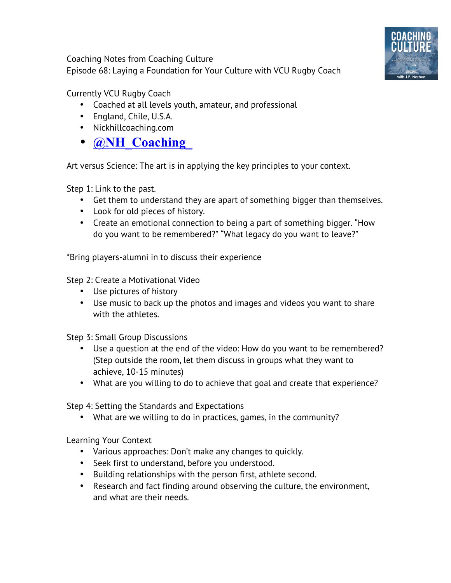Coaching Notes from Coaching Culture Episode 68: Laying a Foundation for Your Culture with VCU Rugby Coach



Currently VCU Rugby Coach

- Coached at all levels youth, amateur, and professional
- England, Chile, U.S.A.
- Nickhillcoaching.com
- **@NH\_Coaching\_**

Art versus Science: The art is in applying the key principles to your context.

Step 1: Link to the past.

- Get them to understand they are apart of something bigger than themselves.
- Look for old pieces of history.
- Create an emotional connection to being a part of something bigger. "How do you want to be remembered?" "What legacy do you want to leave?"

\*Bring players-alumni in to discuss their experience

Step 2: Create a Motivational Video

- Use pictures of history
- Use music to back up the photos and images and videos you want to share with the athletes.

Step 3: Small Group Discussions

- Use a question at the end of the video: How do you want to be remembered? (Step outside the room, let them discuss in groups what they want to achieve, 10-15 minutes)
- What are you willing to do to achieve that goal and create that experience?

Step 4: Setting the Standards and Expectations

• What are we willing to do in practices, games, in the community?

Learning Your Context

- Various approaches: Don't make any changes to quickly.
- Seek first to understand, before you understood.
- Building relationships with the person first, athlete second.
- Research and fact finding around observing the culture, the environment, and what are their needs.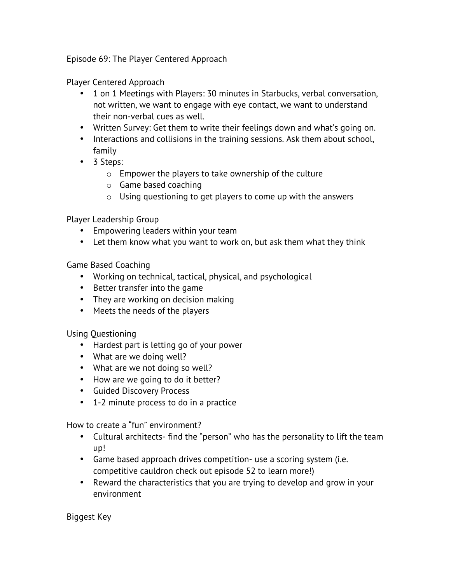Episode 69: The Player Centered Approach

Player Centered Approach

- 1 on 1 Meetings with Players: 30 minutes in Starbucks, verbal conversation, not written, we want to engage with eye contact, we want to understand their non-verbal cues as well.
- Written Survey: Get them to write their feelings down and what's going on.
- Interactions and collisions in the training sessions. Ask them about school, family
- 3 Steps:
	- o Empower the players to take ownership of the culture
	- o Game based coaching
	- o Using questioning to get players to come up with the answers

Player Leadership Group

- Empowering leaders within your team
- Let them know what you want to work on, but ask them what they think

Game Based Coaching

- Working on technical, tactical, physical, and psychological
- Better transfer into the game
- They are working on decision making
- Meets the needs of the players

Using Questioning

- Hardest part is letting go of your power
- What are we doing well?
- What are we not doing so well?
- How are we going to do it better?
- Guided Discovery Process
- 1-2 minute process to do in a practice

How to create a "fun" environment?

- Cultural architects- find the "person" who has the personality to lift the team up!
- Game based approach drives competition- use a scoring system (i.e. competitive cauldron check out episode 52 to learn more!)
- Reward the characteristics that you are trying to develop and grow in your environment

Biggest Key